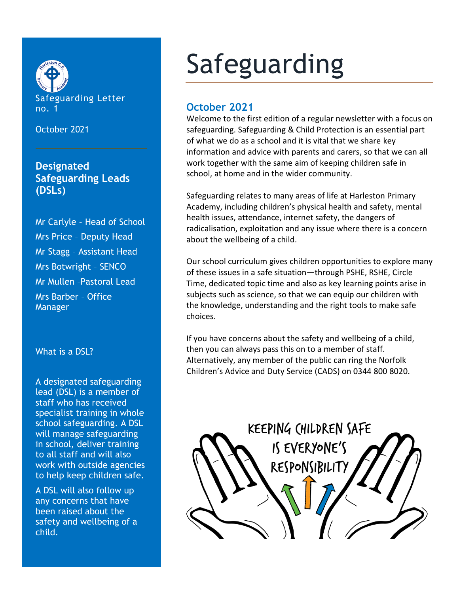

October 2021

## **Designated Safeguarding Leads (DSLs)**

Mr Carlyle – Head of School Mrs Price – Deputy Head Mr Stagg – Assistant Head Mrs Botwright – SENCO Mr Mullen –Pastoral Lead Mrs Barber – Office Manager

What is a DSL?

A designated safeguarding lead (DSL) is a member of staff who has received specialist training in whole school safeguarding. A DSL will manage safeguarding in school, deliver training to all staff and will also work with outside agencies to help keep children safe.

A DSL will also follow up any concerns that have been raised about the safety and wellbeing of a child.

# Safeguarding

### **October 2021**

Welcome to the first edition of a regular newsletter with a focus on safeguarding. Safeguarding & Child Protection is an essential part of what we do as a school and it is vital that we share key information and advice with parents and carers, so that we can all work together with the same aim of keeping children safe in school, at home and in the wider community.

Safeguarding relates to many areas of life at Harleston Primary Academy, including children's physical health and safety, mental health issues, attendance, internet safety, the dangers of radicalisation, exploitation and any issue where there is a concern about the wellbeing of a child.

Our school curriculum gives children opportunities to explore many of these issues in a safe situation—through PSHE, RSHE, Circle Time, dedicated topic time and also as key learning points arise in subjects such as science, so that we can equip our children with the knowledge, understanding and the right tools to make safe choices.

If you have concerns about the safety and wellbeing of a child, then you can always pass this on to a member of staff. Alternatively, any member of the public can ring the Norfolk Children's Advice and Duty Service (CADS) on 0344 800 8020.

KEEPING CHILDREN SAFE IS EVERYONE'S RESPONSIBILITY